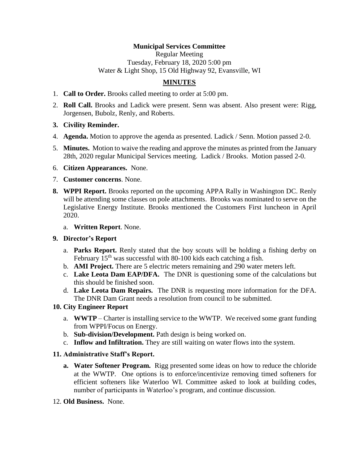## **Municipal Services Committee**

Regular Meeting Tuesday, February 18, 2020 5:00 pm Water & Light Shop, 15 Old Highway 92, Evansville, WI

# **MINUTES**

- 1. **Call to Order.** Brooks called meeting to order at 5:00 pm.
- 2. **Roll Call.** Brooks and Ladick were present. Senn was absent. Also present were: Rigg, Jorgensen, Bubolz, Renly, and Roberts.
- **3. Civility Reminder.**
- 4. **Agenda.** Motion to approve the agenda as presented. Ladick / Senn. Motion passed 2-0.
- 5. **Minutes.** Motion to waive the reading and approve the minutes as printed from the January 28th, 2020 regular Municipal Services meeting. Ladick / Brooks. Motion passed 2-0.
- 6. **Citizen Appearances.** None.
- 7. **Customer concerns**. None.
- **8. WPPI Report.** Brooks reported on the upcoming APPA Rally in Washington DC. Renly will be attending some classes on pole attachments. Brooks was nominated to serve on the Legislative Energy Institute. Brooks mentioned the Customers First luncheon in April 2020.
	- a. **Written Report**. None.

### **9. Director's Report**

- a. **Parks Report.** Renly stated that the boy scouts will be holding a fishing derby on February  $15<sup>th</sup>$  was successful with 80-100 kids each catching a fish.
- b. **AMI Project.** There are 5 electric meters remaining and 290 water meters left.
- c. **Lake Leota Dam EAP/DFA.** The DNR is questioning some of the calculations but this should be finished soon.
- d. **Lake Leota Dam Repairs.** The DNR is requesting more information for the DFA. The DNR Dam Grant needs a resolution from council to be submitted.

### **10. City Engineer Report**

- a. **WWTP** Charter is installing service to the WWTP. We received some grant funding from WPPI/Focus on Energy.
- b. **Sub-division/Development.** Path design is being worked on.
- c. **Inflow and Infiltration.** They are still waiting on water flows into the system.

### **11. Administrative Staff's Report.**

- **a. Water Softener Program.** Rigg presented some ideas on how to reduce the chloride at the WWTP. One options is to enforce/incentivize removing timed softeners for efficient softeners like Waterloo WI. Committee asked to look at building codes, number of participants in Waterloo's program, and continue discussion.
- 12. **Old Business.** None.